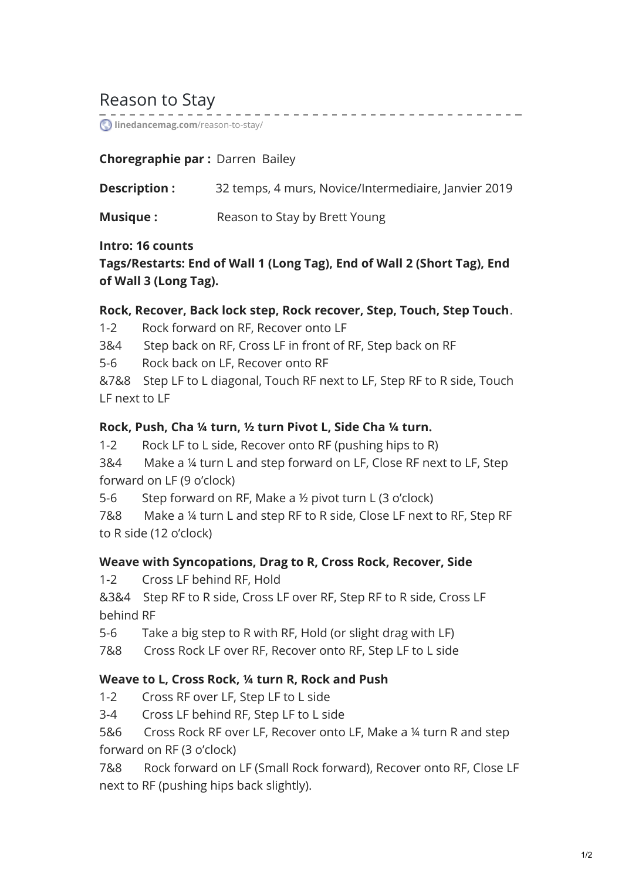# Reason to Stay

*C* [linedancemag.com](https://www.linedancemag.com/reason-to-stay/)/reason-to-stay/

### **Choregraphie par :** Darren Bailey

| Description :   | 32 temps, 4 murs, Novice/Intermediaire, Janvier 2019 |
|-----------------|------------------------------------------------------|
| <b>Musique:</b> | Reason to Stay by Brett Young                        |

. . . . . . . . . . . . . . .

#### **Intro: 16 counts**

**Tags/Restarts: End of Wall 1 (Long Tag), End of Wall 2 (Short Tag), End of Wall 3 (Long Tag).**

#### **Rock, Recover, Back lock step, Rock recover, Step, Touch, Step Touch**.

1-2 Rock forward on RF, Recover onto LF

3&4 Step back on RF, Cross LF in front of RF, Step back on RF

5-6 Rock back on LF, Recover onto RF

&7&8 Step LF to L diagonal, Touch RF next to LF, Step RF to R side, Touch LF next to LF

#### **Rock, Push, Cha ¼ turn, ½ turn Pivot L, Side Cha ¼ turn.**

1-2 Rock LF to L side, Recover onto RF (pushing hips to R)

3&4 Make a ¼ turn L and step forward on LF, Close RF next to LF, Step forward on LF (9 o'clock)

5-6 Step forward on RF, Make a ½ pivot turn L (3 o'clock)

7&8 Make a ¼ turn L and step RF to R side, Close LF next to RF, Step RF to R side (12 o'clock)

#### **Weave with Syncopations, Drag to R, Cross Rock, Recover, Side**

1-2 Cross LF behind RF, Hold

&3&4 Step RF to R side, Cross LF over RF, Step RF to R side, Cross LF behind RF

5-6 Take a big step to R with RF, Hold (or slight drag with LF)

7&8 Cross Rock LF over RF, Recover onto RF, Step LF to L side

### **Weave to L, Cross Rock, ¼ turn R, Rock and Push**

1-2 Cross RF over LF, Step LF to L side

3-4 Cross LF behind RF, Step LF to L side

5&6 Cross Rock RF over LF, Recover onto LF, Make a ¼ turn R and step forward on RF (3 o'clock)

7&8 Rock forward on LF (Small Rock forward), Recover onto RF, Close LF next to RF (pushing hips back slightly).